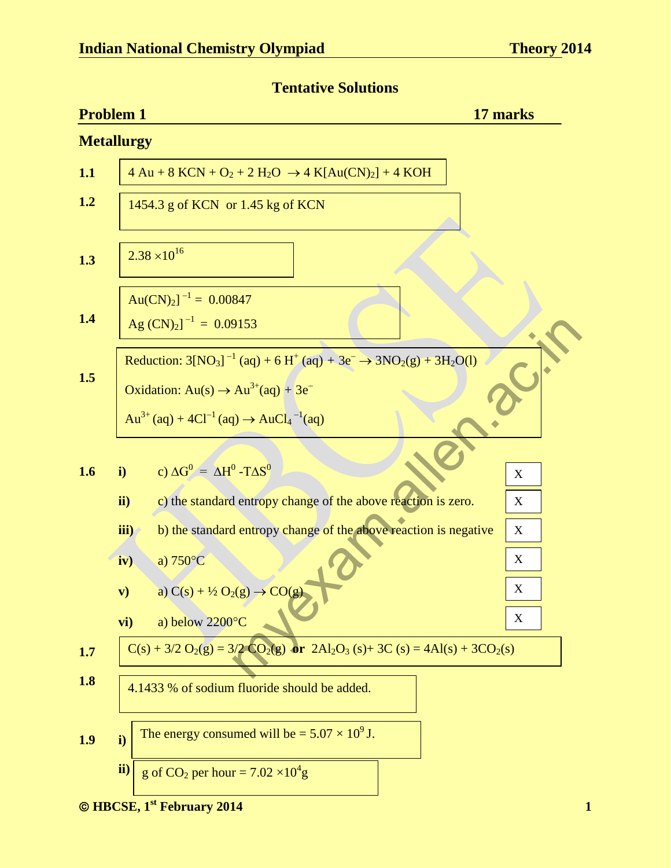**Tentative Solutions** 

|     | <b>Problem 1</b>                                                                                                                                                                          | 17 marks |
|-----|-------------------------------------------------------------------------------------------------------------------------------------------------------------------------------------------|----------|
|     | <b>Metallurgy</b>                                                                                                                                                                         |          |
| 1.1 | $4 \text{ Au} + 8 \text{ KCN} + \text{O}_2 + 2 \text{ H}_2\text{O} \rightarrow 4 \text{ K}[\text{Au(CN)}_2] + 4 \text{ KOH}$                                                              |          |
| 1.2 | 1454.3 g of KCN or 1.45 kg of KCN                                                                                                                                                         |          |
| 1.3 | $2.38 \times 10^{16}$                                                                                                                                                                     |          |
|     | $Au(CN)_2$ ] <sup>-1</sup> = 0.00847                                                                                                                                                      |          |
| 1.4 | Ag $(CN)_2$ <sup>-1</sup> = 0.09153                                                                                                                                                       |          |
| 1.5 | Reduction: $3[NO_3]^{-1}$ (aq) + 6 H <sup>+</sup> (aq) + 3e <sup>-</sup> $\rightarrow$ 3NO <sub>2</sub> (g) + 3H <sub>2</sub> O(l)<br>Oxidation: $Au(s) \rightarrow Au^{3+}(aq) + 3e^{-}$ |          |
|     | Au <sup>3+</sup> (aq) + 4Cl <sup>-1</sup> (aq) $\rightarrow$ AuCl <sub>4</sub> <sup>-1</sup> (aq)                                                                                         |          |
| 1.6 | c) $\Delta G^0 = \Delta H^0 - T \Delta S^0$<br>$\mathbf{i}$                                                                                                                               | X        |
|     | ii)<br>c) the standard entropy change of the above reaction is zero.                                                                                                                      | X        |
|     | b) the standard entropy change of the above reaction is negative<br>iii)                                                                                                                  | X        |
|     | a) $750^{\circ}$ C<br>iv)                                                                                                                                                                 | X        |
|     | a) $C(s) + \frac{1}{2}O_2(g) \rightarrow CO(g)$<br>$\mathbf{v})$                                                                                                                          | X        |
|     | a) below 2200°C<br>vi)                                                                                                                                                                    | X        |
| 1.7 | $C(s) + 3/2 O_2(g) = 3/2 CO_2(g)$ or $2Al_2O_3(s) + 3C(s) = 4Al(s) + 3CO_2(s)$                                                                                                            |          |
| 1.8 | 4.1433 % of sodium fluoride should be added.                                                                                                                                              |          |
| 1.9 | The energy consumed will be = $5.07 \times 10^9$ J.<br>i)                                                                                                                                 |          |
|     | ii)<br>g of CO <sub>2</sub> per hour = $7.02 \times 10^4$ g                                                                                                                               |          |

**<sup>2014</sup>** 1 **CONSECTER 1<sup>st</sup> February 2014**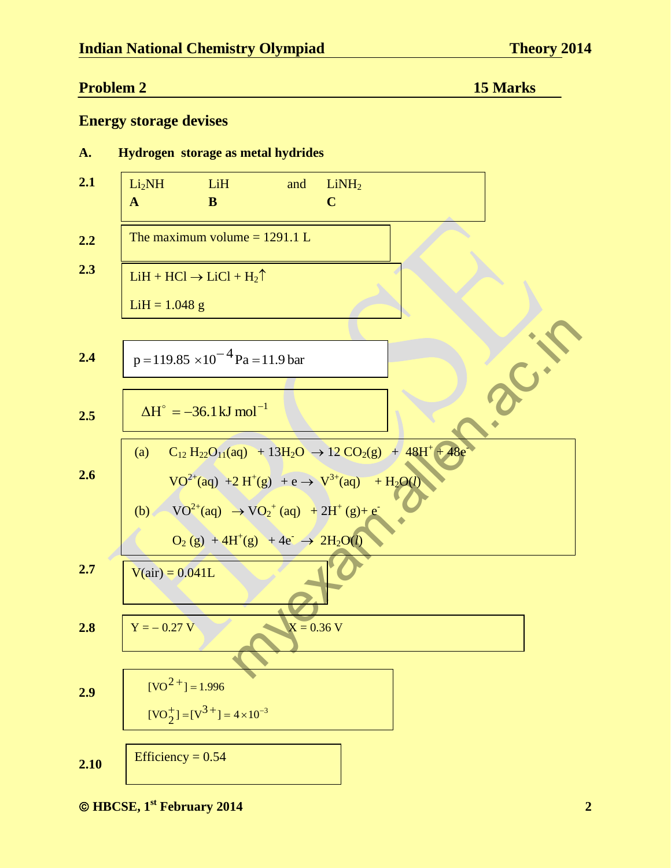#### **Problem 2** 15 Marks **15 Marks**

#### **Energy storage devises**

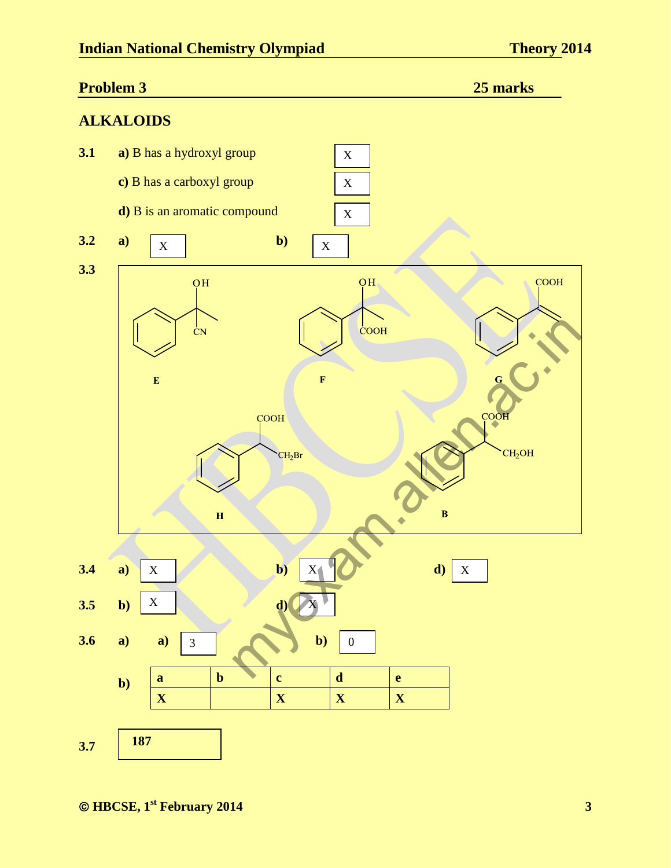# **Problem 3** 25 marks **25 marks ALKALOIDS 3.1 a)** B has a hydroxyl group X **c)** B has a carboxyl group X **d)** B is an aromatic compound X **3.2** a)  $\boxed{y}$  b)  $X \parallel$   $\frac{D}{X} \parallel X$ **3.3**   $\overline{OH}$  $\overline{\text{OH}}$ **COOH** myexam.allen.ac.in $\frac{1}{C}N$  $\bar{\mathbf{E}}$  $\overline{\mathbf{H}}$ **3.4 a)**  $X = \begin{bmatrix} 1 & 0 \\ 0 & 0 \end{bmatrix}$  **b**)  $X = \begin{bmatrix} 1 & 0 \\ 0 & 0 \end{bmatrix}$  $X \quad \bullet \quad \bullet \quad \bullet \quad \bullet \quad \bullet \quad \bullet \quad \bullet \quad \bullet$ X **3.5** b)  $X \mid$  **d**) X 0 **3.6 a) a)** 3 **b** 3 **a b c d e b) x**  $\vert$  **x**  $\vert$  **x**  $\vert$  **x**  $\vert$  **x 187 3.7**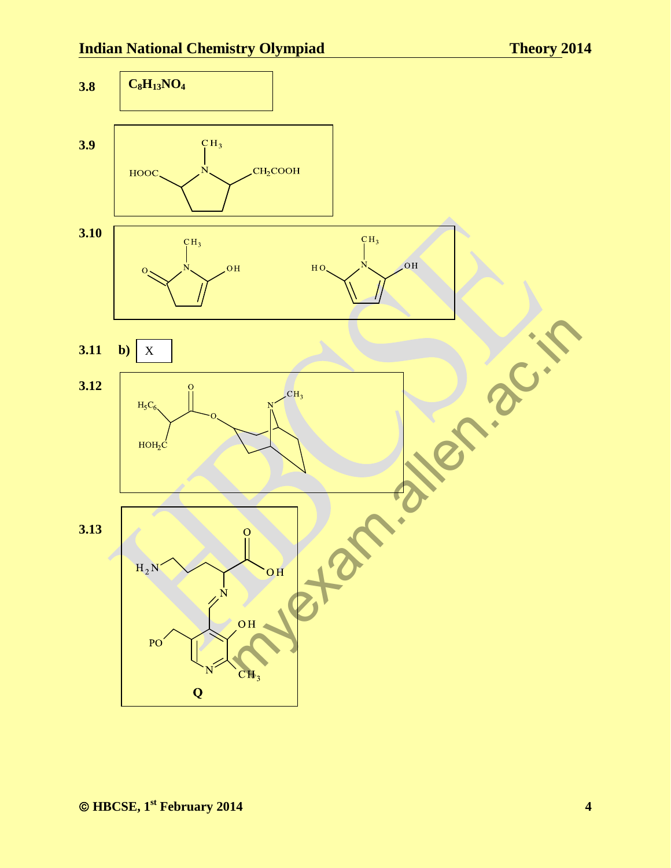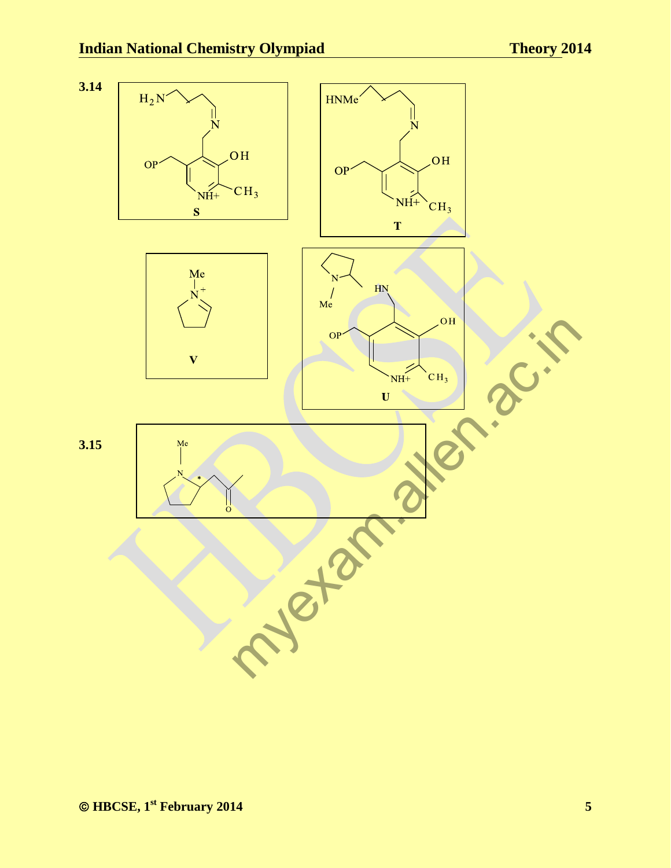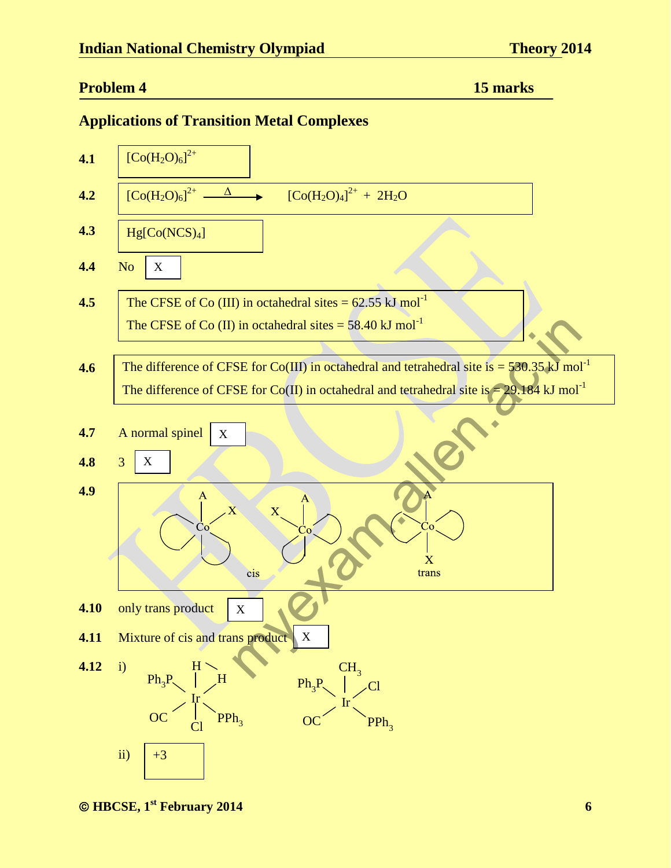#### **Problem 4** 15 marks **15 marks**

#### **Applications of Transition Metal Complexes**

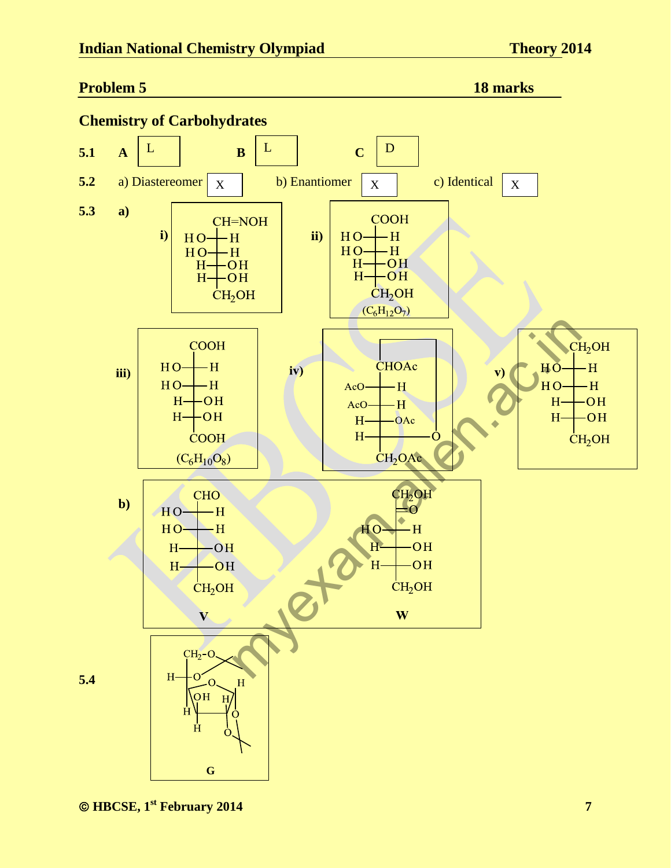#### **Problem 5 18 marks 18 marks**



*<sup>&</sup>lt;b>CONFIGURE, 1<sup>st</sup>* February 2014 7 *PHONE CONFIGURER 1 <b><i>PHONE CONFIGURER 1 <b><i>CONFIGURER 1 P*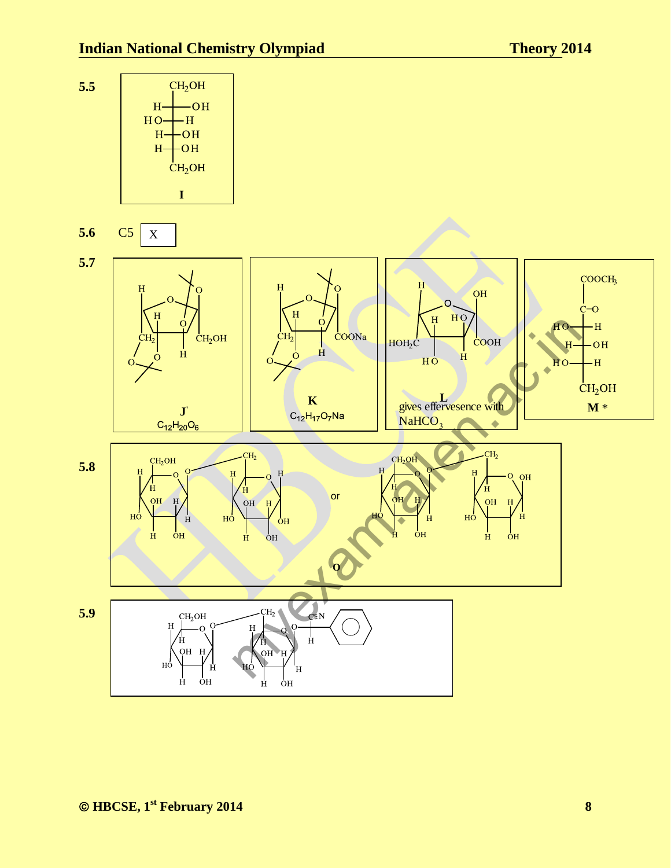